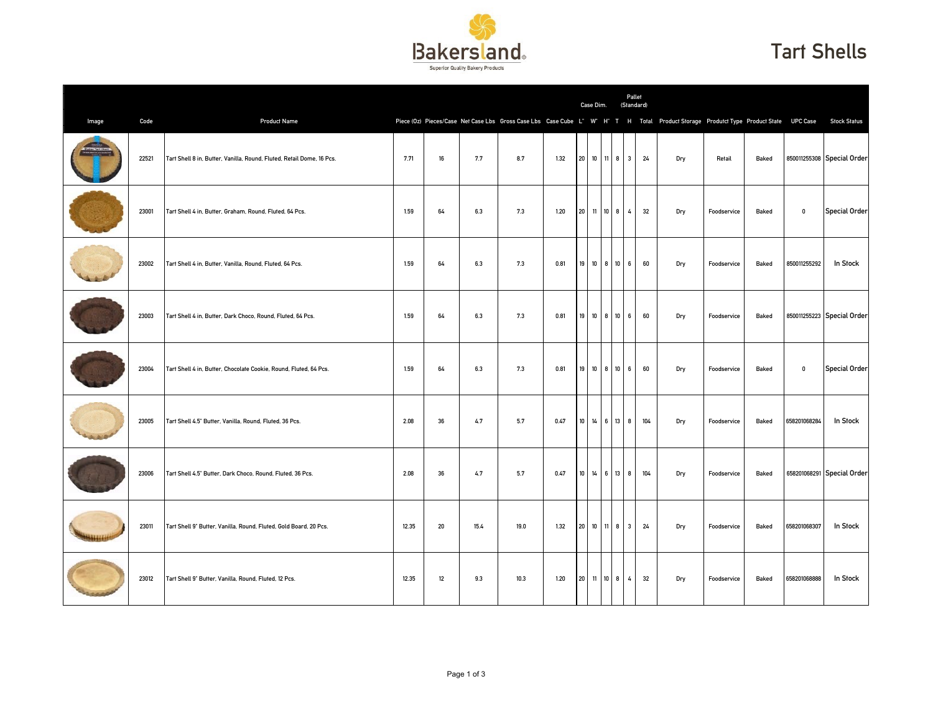

## Tart Shells

|       |       |                                                                       |       |    |      |      |      |        | Case Dim.    |      |                         | Pallet<br>(Standard)  |                                                                                                                                      |             |       |              |                            |
|-------|-------|-----------------------------------------------------------------------|-------|----|------|------|------|--------|--------------|------|-------------------------|-----------------------|--------------------------------------------------------------------------------------------------------------------------------------|-------------|-------|--------------|----------------------------|
| Image | Code  | <b>Product Name</b>                                                   |       |    |      |      |      |        |              |      |                         |                       | Piece (0z) Pieces/Case Net Case Lbs Gross Case Lbs Case Cube L" W" H" T H Total Product Storage Produtct Type Product State UPC Case |             |       |              | <b>Stock Status</b>        |
|       | 22521 | Tart Shell 8 in, Butter, Vanilla, Round, Fluted, Retail Dome, 16 Pcs. | 7.71  | 16 | 7.7  | 8.7  | 1.32 |        | 20 10 11 8   |      | $\overline{\mathbf{3}}$ | 24                    | Dry                                                                                                                                  | Retail      | Baked |              | 850011255308 Special Order |
|       | 23001 | Tart Shell 4 in, Butter, Graham, Round, Fluted, 64 Pcs,               | 1.59  | 64 | 6.3  | 7.3  | 1.20 |        | 20 11 10 8   |      | $\overline{4}$          | 32                    | Dry                                                                                                                                  | Foodservice | Baked | $\mathbf 0$  | <b>Special Order</b>       |
|       | 23002 | Tart Shell 4 in, Butter, Vanilla, Round, Fluted, 64 Pcs.              | 1.59  | 64 | 6.3  | 7.3  | 0.81 |        | 19 10 8 10 6 |      |                         | 60                    | Dry                                                                                                                                  | Foodservice | Baked | 850011255292 | In Stock                   |
|       | 23003 | Tart Shell 4 in, Butter, Dark Choco, Round, Fluted, 64 Pcs.           | 1.59  | 64 | 6.3  | 7.3  | 0.81 |        | 19 10 8 10   |      |                         | 6 <sup>1</sup><br>60  | Dry                                                                                                                                  | Foodservice | Baked |              | 850011255223 Special Order |
|       | 23004 | Tart Shell 4 in, Butter, Chocolate Cookie, Round, Fluted, 64 Pcs.     | 1.59  | 64 | 6.3  | 7.3  | 0.81 |        | 19 10 8 10   |      |                         | 6<br>60               | Dry                                                                                                                                  | Foodservice | Baked | 0            | <b>Special Order</b>       |
|       | 23005 | Tart Shell 4.5" Butter, Vanilla, Round, Fluted, 36 Pcs.               | 2.08  | 36 | 4.7  | 5.7  | 0.47 |        | 10 14 6 13   |      | 8                       | 104                   | Dry                                                                                                                                  | Foodservice | Baked | 658201068284 | In Stock                   |
|       | 23006 | Tart Shell 4.5" Butter, Dark Choco, Round, Fluted, 36 Pcs.            | 2.08  | 36 | 4.7  | 5.7  | 0.47 | $10\,$ | 14           | 6 13 | 8                       | 104                   | Dry                                                                                                                                  | Foodservice | Baked |              | 658201068291 Special Order |
|       | 23011 | Tart Shell 9" Butter, Vanilla, Round, Fluted, Gold Board, 20 Pcs.     | 12.35 | 20 | 15.4 | 19.0 | 1.32 |        | 20 10 11 8 3 |      |                         | 24                    | Dry                                                                                                                                  | Foodservice | Baked | 658201068307 | In Stock                   |
|       | 23012 | Tart Shell 9" Butter, Vanilla, Round, Fluted, 12 Pcs.                 | 12.35 | 12 | 9.3  | 10.3 | 1.20 |        | 20 11 10 8   |      |                         | 32<br>$4\overline{ }$ | Dry                                                                                                                                  | Foodservice | Baked | 658201068888 | In Stock                   |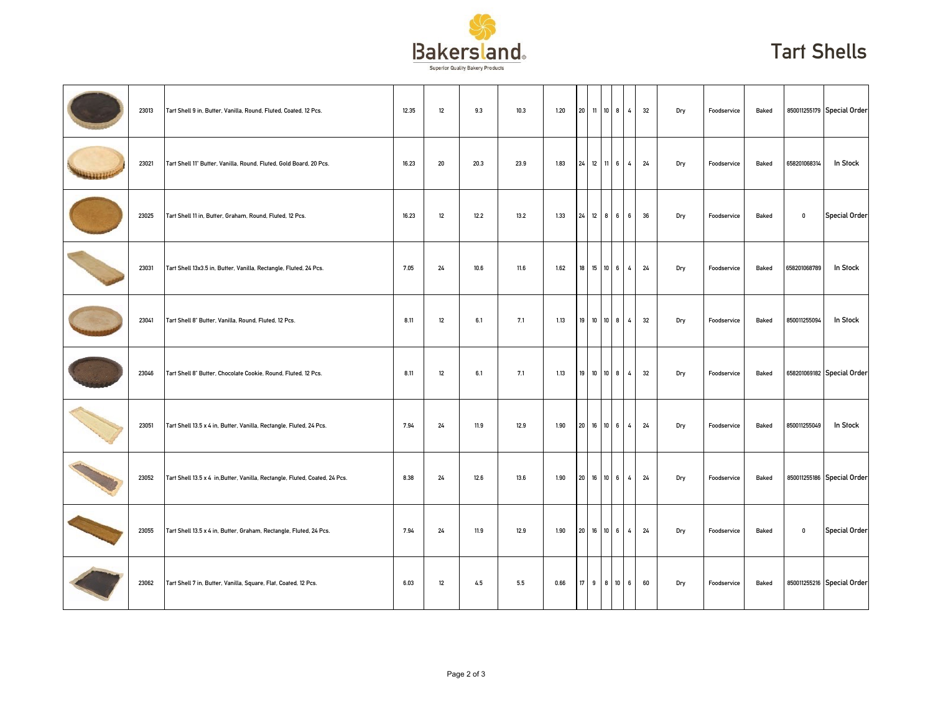

## Tart Shells

| 23013 | Tart Shell 9 in, Butter, Vanilla, Round, Fluted, Coated, 12 Pcs.            | 12.35 | 12 | 9.3  | 10.3   | 1.20 | 20 11 10 8 |                 | 32<br>$\overline{4}$ | Dry | Foodservice | Baked |              | 850011255179 Special Order |
|-------|-----------------------------------------------------------------------------|-------|----|------|--------|------|------------|-----------------|----------------------|-----|-------------|-------|--------------|----------------------------|
| 23021 | Tart Shell 11" Butter, Vanilla, Round, Fluted, Gold Board, 20 Pcs.          | 16.23 | 20 | 20.3 | 23.9   | 1.83 |            |                 | 24 12 11 6 4 24      | Dry | Foodservice | Baked | 658201068314 | In Stock                   |
| 23025 | Tart Shell 11 in, Butter, Graham, Round, Fluted, 12 Pcs.                    | 16.23 | 12 | 12.2 | 13.2   | 1.33 | 24 12 8 6  | 6 <sup>1</sup>  | 36                   | Dry | Foodservice | Baked | $\pmb{0}$    | Special Order              |
| 23031 | Tart Shell 13x3.5 in, Butter, Vanilla, Rectangle, Fluted, 24 Pcs.           | 7.05  | 24 | 10.6 | $11.6$ | 1.62 | 18 15 10 6 | 4 <sub>1</sub>  | 24                   | Dry | Foodservice | Baked | 658201068789 | In Stock                   |
| 23041 | Tart Shell 8" Butter, Vanilla, Round, Fluted, 12 Pcs.                       | 8.11  | 12 | 6.1  | 7.1    | 1.13 | 19 10 10 8 | $\overline{4}$  | 32                   | Dry | Foodservice | Baked | 850011255094 | In Stock                   |
| 23046 | Tart Shell 8" Butter, Chocolate Cookie, Round, Fluted, 12 Pcs.              | 8.11  | 12 | 6.1  | 7.1    | 1.13 | 19 10 10 8 |                 | 4<br>32              | Dry | Foodservice | Baked |              | 658201069182 Special Order |
| 23051 | Tart Shell 13.5 x 4 in, Butter, Vanilla, Rectangle, Fluted, 24 Pcs.         | 7.94  | 24 | 11.9 | 12.9   | 1.90 | 20 16 10 6 | $4\overline{6}$ | 24                   | Dry | Foodservice | Baked | 850011255049 | In Stock                   |
| 23052 | Tart Shell 13.5 x 4 in, Butter, Vanilla, Rectangle, Fluted, Coated, 24 Pcs. | 8.38  | 24 | 12.6 | 13.6   | 1.90 | 20 16 10 6 |                 | $\overline{4}$<br>24 | Dry | Foodservice | Baked |              | 850011255186 Special Order |
| 23055 | Tart Shell 13.5 x 4 in, Butter, Graham, Rectangle, Fluted, 24 Pcs.          | 7.94  | 24 | 11.9 | 12.9   | 1.90 | 20 16 10 6 |                 | $\overline{4}$<br>24 | Dry | Foodservice | Baked | $\mathbf 0$  | Special Order              |
| 23062 | Tart Shell 7 in, Butter, Vanilla, Square, Flat, Coated, 12 Pcs.             | 6.03  | 12 | 4.5  | 5.5    | 0.66 | 17 9 8 10  |                 | 6 <sub>6</sub><br>60 | Dry | Foodservice | Baked |              | 850011255216 Special Order |